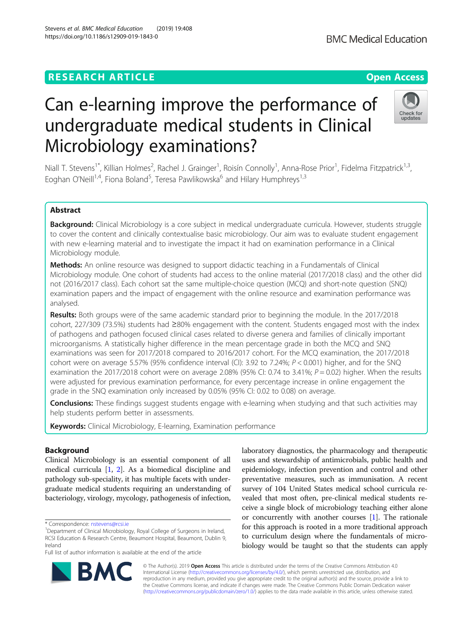# **RESEARCH ARTICLE Example 2014 12:30 The Contract of Contract ACCESS**

# Can e-learning improve the performance of undergraduate medical students in Clinical Microbiology examinations?

Niall T. Stevens<sup>1\*</sup>, Killian Holmes<sup>2</sup>, Rachel J. Grainger<sup>1</sup>, Roisín Connolly<sup>1</sup>, Anna-Rose Prior<sup>1</sup>, Fidelma Fitzpatrick<sup>1,3</sup>, Eoghan O'Neill<sup>1,4</sup>, Fiona Boland<sup>5</sup>, Teresa Pawlikowska<sup>6</sup> and Hilary Humphreys<sup>1,3</sup>

# Abstract

Background: Clinical Microbiology is a core subject in medical undergraduate curricula. However, students struggle to cover the content and clinically contextualise basic microbiology. Our aim was to evaluate student engagement with new e-learning material and to investigate the impact it had on examination performance in a Clinical Microbiology module.

**Methods:** An online resource was designed to support didactic teaching in a Fundamentals of Clinical Microbiology module. One cohort of students had access to the online material (2017/2018 class) and the other did not (2016/2017 class). Each cohort sat the same multiple-choice question (MCQ) and short-note question (SNQ) examination papers and the impact of engagement with the online resource and examination performance was analysed.

Results: Both groups were of the same academic standard prior to beginning the module. In the 2017/2018 cohort, 227/309 (73.5%) students had ≥80% engagement with the content. Students engaged most with the index of pathogens and pathogen focused clinical cases related to diverse genera and families of clinically important microorganisms. A statistically higher difference in the mean percentage grade in both the MCQ and SNQ examinations was seen for 2017/2018 compared to 2016/2017 cohort. For the MCQ examination, the 2017/2018 cohort were on average 5.57% (95% confidence interval (CI): 3.92 to 7.24%; P < 0.001) higher, and for the SNQ examination the 2017/2018 cohort were on average 2.08% (95% CI: 0.74 to 3.41%;  $P = 0.02$ ) higher. When the results were adjusted for previous examination performance, for every percentage increase in online engagement the grade in the SNQ examination only increased by 0.05% (95% CI: 0.02 to 0.08) on average.

**Conclusions:** These findings suggest students engage with e-learning when studying and that such activities may help students perform better in assessments.

Keywords: Clinical Microbiology, E-learning, Examination performance

# Background

Clinical Microbiology is an essential component of all medical curricula [\[1](#page-6-0), [2\]](#page-6-0). As a biomedical discipline and pathology sub-speciality, it has multiple facets with undergraduate medical students requiring an understanding of bacteriology, virology, mycology, pathogenesis of infection,

\* Correspondence: [nstevens@rcsi.ie](mailto:nstevens@rcsi.ie) <sup>1</sup>

Full list of author information is available at the end of the article

laboratory diagnostics, the pharmacology and therapeutic uses and stewardship of antimicrobials, public health and epidemiology, infection prevention and control and other preventative measures, such as immunisation. A recent survey of 104 United States medical school curricula revealed that most often, pre-clinical medical students receive a single block of microbiology teaching either alone or concurrently with another courses [\[1](#page-6-0)]. The rationale for this approach is rooted in a more traditional approach to curriculum design where the fundamentals of microbiology would be taught so that the students can apply

© The Author(s). 2019 Open Access This article is distributed under the terms of the Creative Commons Attribution 4.0 International License [\(http://creativecommons.org/licenses/by/4.0/](http://creativecommons.org/licenses/by/4.0/)), which permits unrestricted use, distribution, and reproduction in any medium, provided you give appropriate credit to the original author(s) and the source, provide a link to the Creative Commons license, and indicate if changes were made. The Creative Commons Public Domain Dedication waiver [\(http://creativecommons.org/publicdomain/zero/1.0/](http://creativecommons.org/publicdomain/zero/1.0/)) applies to the data made available in this article, unless otherwise stated.







<sup>&</sup>lt;sup>1</sup>Department of Clinical Microbiology, Royal College of Surgeons in Ireland, RCSI Education & Research Centre, Beaumont Hospital, Beaumont, Dublin 9, Ireland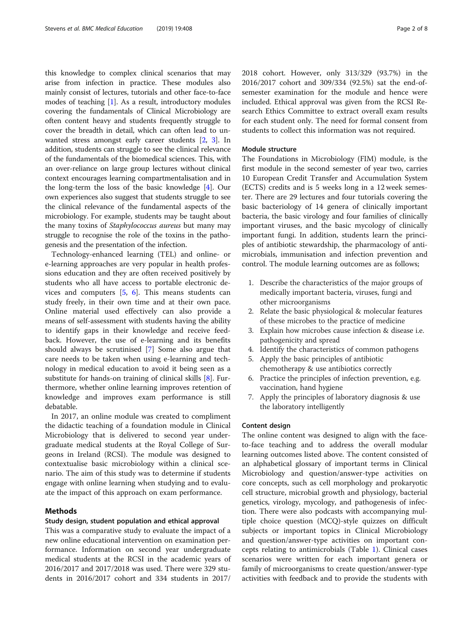this knowledge to complex clinical scenarios that may arise from infection in practice. These modules also mainly consist of lectures, tutorials and other face-to-face modes of teaching [[1](#page-6-0)]. As a result, introductory modules covering the fundamentals of Clinical Microbiology are often content heavy and students frequently struggle to cover the breadth in detail, which can often lead to unwanted stress amongst early career students [\[2](#page-6-0), [3](#page-6-0)]. In addition, students can struggle to see the clinical relevance of the fundamentals of the biomedical sciences. This, with an over-reliance on large group lectures without clinical context encourages learning compartmentalisation and in the long-term the loss of the basic knowledge [\[4](#page-6-0)]. Our own experiences also suggest that students struggle to see the clinical relevance of the fundamental aspects of the microbiology. For example, students may be taught about the many toxins of Staphylococcus aureus but many may struggle to recognise the role of the toxins in the pathogenesis and the presentation of the infection.

Technology-enhanced learning (TEL) and online- or e-learning approaches are very popular in health professions education and they are often received positively by students who all have access to portable electronic devices and computers [[5,](#page-6-0) [6](#page-6-0)]. This means students can study freely, in their own time and at their own pace. Online material used effectively can also provide a means of self-assessment with students having the ability to identify gaps in their knowledge and receive feedback. However, the use of e-learning and its benefits should always be scrutinised [\[7](#page-6-0)] Some also argue that care needs to be taken when using e-learning and technology in medical education to avoid it being seen as a substitute for hands-on training of clinical skills [[8\]](#page-6-0). Furthermore, whether online learning improves retention of knowledge and improves exam performance is still debatable.

In 2017, an online module was created to compliment the didactic teaching of a foundation module in Clinical Microbiology that is delivered to second year undergraduate medical students at the Royal College of Surgeons in Ireland (RCSI). The module was designed to contextualise basic microbiology within a clinical scenario. The aim of this study was to determine if students engage with online learning when studying and to evaluate the impact of this approach on exam performance.

# Methods

#### Study design, student population and ethical approval

This was a comparative study to evaluate the impact of a new online educational intervention on examination performance. Information on second year undergraduate medical students at the RCSI in the academic years of 2016/2017 and 2017/2018 was used. There were 329 students in 2016/2017 cohort and 334 students in 2017/ 2018 cohort. However, only 313/329 (93.7%) in the 2016/2017 cohort and 309/334 (92.5%) sat the end-ofsemester examination for the module and hence were included. Ethical approval was given from the RCSI Research Ethics Committee to extract overall exam results for each student only. The need for formal consent from students to collect this information was not required.

## Module structure

The Foundations in Microbiology (FIM) module, is the first module in the second semester of year two, carries 10 European Credit Transfer and Accumulation System (ECTS) credits and is 5 weeks long in a 12 week semester. There are 29 lectures and four tutorials covering the basic bacteriology of 14 genera of clinically important bacteria, the basic virology and four families of clinically important viruses, and the basic mycology of clinically important fungi. In addition, students learn the principles of antibiotic stewardship, the pharmacology of antimicrobials, immunisation and infection prevention and control. The module learning outcomes are as follows;

- 1. Describe the characteristics of the major groups of medically important bacteria, viruses, fungi and other microorganisms
- 2. Relate the basic physiological & molecular features of these microbes to the practice of medicine
- 3. Explain how microbes cause infection & disease i.e. pathogenicity and spread
- 4. Identify the characteristics of common pathogens
- 5. Apply the basic principles of antibiotic chemotherapy & use antibiotics correctly
- 6. Practice the principles of infection prevention, e.g. vaccination, hand hygiene
- 7. Apply the principles of laboratory diagnosis & use the laboratory intelligently

## Content design

The online content was designed to align with the faceto-face teaching and to address the overall modular learning outcomes listed above. The content consisted of an alphabetical glossary of important terms in Clinical Microbiology and question/answer-type activities on core concepts, such as cell morphology and prokaryotic cell structure, microbial growth and physiology, bacterial genetics, virology, mycology, and pathogenesis of infection. There were also podcasts with accompanying multiple choice question (MCQ)-style quizzes on difficult subjects or important topics in Clinical Microbiology and question/answer-type activities on important concepts relating to antimicrobials (Table [1\)](#page-2-0). Clinical cases scenarios were written for each important genera or family of microorganisms to create question/answer-type activities with feedback and to provide the students with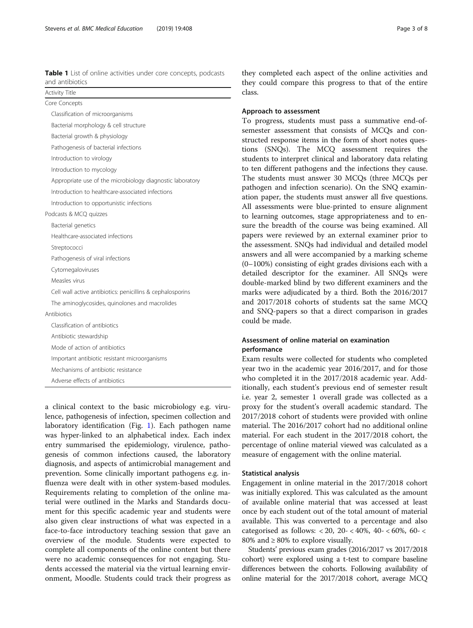<span id="page-2-0"></span>Stevens et al. BMC Medical Education (2019) 19:408 Page 3 of 8

|                 |  |  |  | Table 1 List of online activities under core concepts, podcasts |  |
|-----------------|--|--|--|-----------------------------------------------------------------|--|
| and antibiotics |  |  |  |                                                                 |  |

| <b>Activity Title</b>                                      |  |  |  |  |  |  |
|------------------------------------------------------------|--|--|--|--|--|--|
| Core Concepts                                              |  |  |  |  |  |  |
| Classification of microorganisms                           |  |  |  |  |  |  |
| Bacterial morphology & cell structure                      |  |  |  |  |  |  |
| Bacterial growth & physiology                              |  |  |  |  |  |  |
| Pathogenesis of bacterial infections                       |  |  |  |  |  |  |
| Introduction to virology                                   |  |  |  |  |  |  |
| Introduction to mycology                                   |  |  |  |  |  |  |
| Appropriate use of the microbiology diagnostic laboratory  |  |  |  |  |  |  |
| Introduction to healthcare-associated infections           |  |  |  |  |  |  |
| Introduction to opportunistic infections                   |  |  |  |  |  |  |
| Podcasts & MCQ quizzes                                     |  |  |  |  |  |  |
| Bacterial genetics                                         |  |  |  |  |  |  |
| Healthcare-associated infections                           |  |  |  |  |  |  |
| Streptococci                                               |  |  |  |  |  |  |
| Pathogenesis of viral infections                           |  |  |  |  |  |  |
| Cytomegaloviruses                                          |  |  |  |  |  |  |
| Measles virus                                              |  |  |  |  |  |  |
| Cell wall active antibiotics: penicillins & cephalosporins |  |  |  |  |  |  |
| The aminoglycosides, guinolones and macrolides             |  |  |  |  |  |  |
| <b>Antibiotics</b>                                         |  |  |  |  |  |  |
| Classification of antibiotics                              |  |  |  |  |  |  |
| Antibiotic stewardship                                     |  |  |  |  |  |  |
| Mode of action of antibiotics                              |  |  |  |  |  |  |
| Important antibiotic resistant microorganisms              |  |  |  |  |  |  |
| Mechanisms of antibiotic resistance                        |  |  |  |  |  |  |
| Adverse effects of antibiotics                             |  |  |  |  |  |  |

a clinical context to the basic microbiology e.g. virulence, pathogenesis of infection, specimen collection and laboratory identification (Fig. [1](#page-3-0)). Each pathogen name was hyper-linked to an alphabetical index. Each index entry summarised the epidemiology, virulence, pathogenesis of common infections caused, the laboratory diagnosis, and aspects of antimicrobial management and prevention. Some clinically important pathogens e.g. influenza were dealt with in other system-based modules. Requirements relating to completion of the online material were outlined in the Marks and Standards document for this specific academic year and students were also given clear instructions of what was expected in a face-to-face introductory teaching session that gave an overview of the module. Students were expected to complete all components of the online content but there were no academic consequences for not engaging. Students accessed the material via the virtual learning environment, Moodle. Students could track their progress as they completed each aspect of the online activities and they could compare this progress to that of the entire class.

# Approach to assessment

To progress, students must pass a summative end-ofsemester assessment that consists of MCQs and constructed response items in the form of short notes questions (SNQs). The MCQ assessment requires the students to interpret clinical and laboratory data relating to ten different pathogens and the infections they cause. The students must answer 30 MCQs (three MCQs per pathogen and infection scenario). On the SNQ examination paper, the students must answer all five questions. All assessments were blue-printed to ensure alignment to learning outcomes, stage appropriateness and to ensure the breadth of the course was being examined. All papers were reviewed by an external examiner prior to the assessment. SNQs had individual and detailed model answers and all were accompanied by a marking scheme (0–100%) consisting of eight grades divisions each with a detailed descriptor for the examiner. All SNQs were double-marked blind by two different examiners and the marks were adjudicated by a third. Both the 2016/2017 and 2017/2018 cohorts of students sat the same MCQ and SNQ-papers so that a direct comparison in grades could be made.

# Assessment of online material on examination performance

Exam results were collected for students who completed year two in the academic year 2016/2017, and for those who completed it in the 2017/2018 academic year. Additionally, each student's previous end of semester result i.e. year 2, semester 1 overall grade was collected as a proxy for the student's overall academic standard. The 2017/2018 cohort of students were provided with online material. The 2016/2017 cohort had no additional online material. For each student in the 2017/2018 cohort, the percentage of online material viewed was calculated as a measure of engagement with the online material.

#### Statistical analysis

Engagement in online material in the 2017/2018 cohort was initially explored. This was calculated as the amount of available online material that was accessed at least once by each student out of the total amount of material available. This was converted to a percentage and also categorised as follows: < 20, 20- < 40%, 40- < 60%, 60- < 80% and  $\geq$  80% to explore visually.

Students' previous exam grades (2016/2017 vs 2017/2018 cohort) were explored using a t-test to compare baseline differences between the cohorts. Following availability of online material for the 2017/2018 cohort, average MCQ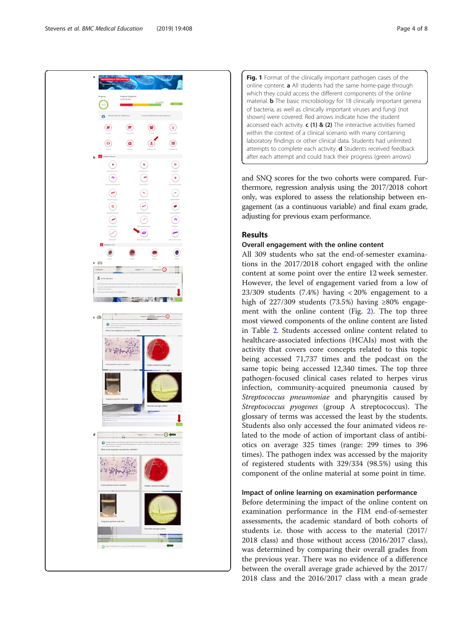<span id="page-3-0"></span>

Fig. 1 Format of the clinically important pathogen cases of the online content. a All students had the same home-page through which they could access the different components of the online material. **b** The basic microbiology for 18 clinically important genera of bacteria, as well as clinically important viruses and fungi (not shown) were covered. Red arrows indicate how the student accessed each activity.  $c$  (1) & (2) The interactive activities framed within the context of a clinical scenario with many containing laboratory findings or other clinical data. Students had unlimited attempts to complete each activity. **d** Students received feedback after each attempt and could track their progress (green arrows)

and SNQ scores for the two cohorts were compared. Furthermore, regression analysis using the 2017/2018 cohort only, was explored to assess the relationship between engagement (as a continuous variable) and final exam grade, adjusting for previous exam performance.

# Results

# Overall engagement with the online content

All 309 students who sat the end-of-semester examinations in the 2017/2018 cohort engaged with the online content at some point over the entire 12 week semester. However, the level of engagement varied from a low of  $23/309$  students (7.4%) having  $\lt 20\%$  engagement to a high of 227/309 students (73.5%) having  $\geq 80\%$  engagement with the online content (Fig. [2\)](#page-4-0). The top three most viewed components of the online content are listed in Table [2.](#page-4-0) Students accessed online content related to healthcare-associated infections (HCAIs) most with the activity that covers core concepts related to this topic being accessed 71,737 times and the podcast on the same topic being accessed 12,340 times. The top three pathogen-focused clinical cases related to herpes virus infection, community-acquired pneumonia caused by Streptococcus pneumoniae and pharyngitis caused by Streptococcus pyogenes (group A streptococcus). The glossary of terms was accessed the least by the students. Students also only accessed the four animated videos related to the mode of action of important class of antibiotics on average 325 times (range: 299 times to 396 times). The pathogen index was accessed by the majority of registered students with 329/334 (98.5%) using this component of the online material at some point in time.

# Impact of online learning on examination performance

Before determining the impact of the online content on examination performance in the FIM end-of-semester assessments, the academic standard of both cohorts of students i.e. those with access to the material (2017/ 2018 class) and those without access (2016/2017 class), was determined by comparing their overall grades from the previous year. There was no evidence of a difference between the overall average grade achieved by the 2017/ 2018 class and the 2016/2017 class with a mean grade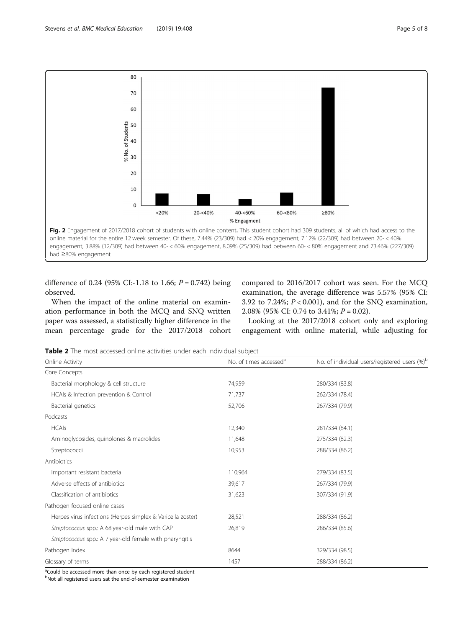<span id="page-4-0"></span>

online material for the entire 12 week semester. Of these, 7.44% (23/309) had < 20% engagement, 7.12% (22/309) had between 20- < 40% engagement, 3.88% (12/309) had between 40- < 60% engagement, 8.09% (25/309) had between 60- < 80% engagement and 73.46% (227/309) had ≥80% engagement

difference of 0.24 (95% CI:-1.18 to 1.66;  $P = 0.742$ ) being observed.

When the impact of the online material on examination performance in both the MCQ and SNQ written paper was assessed, a statistically higher difference in the mean percentage grade for the 2017/2018 cohort compared to 2016/2017 cohort was seen. For the MCQ examination, the average difference was 5.57% (95% CI: 3.92 to 7.24%;  $P < 0.001$ ), and for the SNQ examination, 2.08% (95% CI: 0.74 to 3.41%;  $P = 0.02$ ).

Looking at the 2017/2018 cohort only and exploring engagement with online material, while adjusting for

Table 2 The most accessed online activities under each individual subject

| Online Activity                                             | No. of times accessed <sup>a</sup> | No. of individual users/registered users (%) <sup>b</sup> |
|-------------------------------------------------------------|------------------------------------|-----------------------------------------------------------|
| Core Concepts                                               |                                    |                                                           |
| Bacterial morphology & cell structure                       | 74,959                             | 280/334 (83.8)                                            |
| HCAIs & Infection prevention & Control                      | 71,737                             | 262/334 (78.4)                                            |
| Bacterial genetics                                          | 52,706                             | 267/334 (79.9)                                            |
| Podcasts                                                    |                                    |                                                           |
| <b>HCAIs</b>                                                | 12,340                             | 281/334 (84.1)                                            |
| Aminoglycosides, quinolones & macrolides                    | 11,648                             | 275/334 (82.3)                                            |
| Streptococci                                                | 10,953                             | 288/334 (86.2)                                            |
| Antibiotics                                                 |                                    |                                                           |
| Important resistant bacteria                                | 110,964                            | 279/334 (83.5)                                            |
| Adverse effects of antibiotics                              | 39,617                             | 267/334 (79.9)                                            |
| Classification of antibiotics                               | 31,623                             | 307/334 (91.9)                                            |
| Pathogen focused online cases                               |                                    |                                                           |
| Herpes virus infections (Herpes simplex & Varicella zoster) | 28,521                             | 288/334 (86.2)                                            |
| Streptococcus spp.: A 68 year-old male with CAP             | 26,819                             | 286/334 (85.6)                                            |
| Streptococcus spp.: A 7 year-old female with pharyngitis    |                                    |                                                           |
| Pathogen Index                                              | 8644                               | 329/334 (98.5)                                            |
| Glossary of terms                                           | 1457                               | 288/334 (86.2)                                            |

<sup>a</sup>Could be accessed more than once by each registered student

<sup>b</sup>Not all registered users sat the end-of-semester examination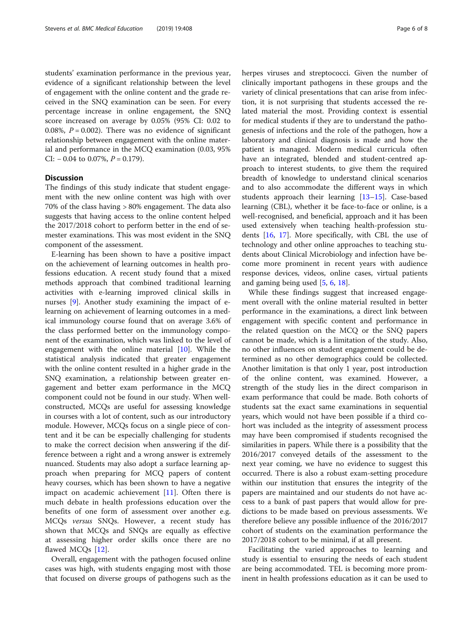students' examination performance in the previous year, evidence of a significant relationship between the level of engagement with the online content and the grade received in the SNQ examination can be seen. For every percentage increase in online engagement, the SNQ score increased on average by 0.05% (95% CI: 0.02 to 0.08%,  $P = 0.002$ ). There was no evidence of significant relationship between engagement with the online material and performance in the MCQ examination (0.03, 95% CI:  $-0.04$  to 0.07%,  $P = 0.179$ ).

# **Discussion**

The findings of this study indicate that student engagement with the new online content was high with over 70% of the class having > 80% engagement. The data also suggests that having access to the online content helped the 2017/2018 cohort to perform better in the end of semester examinations. This was most evident in the SNQ component of the assessment.

E-learning has been shown to have a positive impact on the achievement of learning outcomes in health professions education. A recent study found that a mixed methods approach that combined traditional learning activities with e-learning improved clinical skills in nurses [\[9](#page-6-0)]. Another study examining the impact of elearning on achievement of learning outcomes in a medical immunology course found that on average 3.6% of the class performed better on the immunology component of the examination, which was linked to the level of engagement with the online material [[10](#page-6-0)]. While the statistical analysis indicated that greater engagement with the online content resulted in a higher grade in the SNQ examination, a relationship between greater engagement and better exam performance in the MCQ component could not be found in our study. When wellconstructed, MCQs are useful for assessing knowledge in courses with a lot of content, such as our introductory module. However, MCQs focus on a single piece of content and it be can be especially challenging for students to make the correct decision when answering if the difference between a right and a wrong answer is extremely nuanced. Students may also adopt a surface learning approach when preparing for MCQ papers of content heavy courses, which has been shown to have a negative impact on academic achievement  $[11]$  $[11]$ . Often there is much debate in health professions education over the benefits of one form of assessment over another e.g. MCQs versus SNQs. However, a recent study has shown that MCQs and SNQs are equally as effective at assessing higher order skills once there are no flawed MCQs [\[12](#page-6-0)].

Overall, engagement with the pathogen focused online cases was high, with students engaging most with those that focused on diverse groups of pathogens such as the herpes viruses and streptococci. Given the number of clinically important pathogens in these groups and the variety of clinical presentations that can arise from infection, it is not surprising that students accessed the related material the most. Providing context is essential for medical students if they are to understand the pathogenesis of infections and the role of the pathogen, how a laboratory and clinical diagnosis is made and how the patient is managed. Modern medical curricula often have an integrated, blended and student-centred approach to interest students, to give them the required breadth of knowledge to understand clinical scenarios and to also accommodate the different ways in which students approach their learning [\[13](#page-6-0)–[15\]](#page-6-0). Case-based learning (CBL), whether it be face-to-face or online, is a well-recognised, and beneficial, approach and it has been used extensively when teaching health-profession students [[16](#page-7-0), [17](#page-7-0)]. More specifically, with CBL the use of technology and other online approaches to teaching students about Clinical Microbiology and infection have become more prominent in recent years with audience response devices, videos, online cases, virtual patients and gaming being used [[5](#page-6-0), [6](#page-6-0), [18](#page-7-0)].

While these findings suggest that increased engagement overall with the online material resulted in better performance in the examinations, a direct link between engagement with specific content and performance in the related question on the MCQ or the SNQ papers cannot be made, which is a limitation of the study. Also, no other influences on student engagement could be determined as no other demographics could be collected. Another limitation is that only 1 year, post introduction of the online content, was examined. However, a strength of the study lies in the direct comparison in exam performance that could be made. Both cohorts of students sat the exact same examinations in sequential years, which would not have been possible if a third cohort was included as the integrity of assessment process may have been compromised if students recognised the similarities in papers. While there is a possibility that the 2016/2017 conveyed details of the assessment to the next year coming, we have no evidence to suggest this occurred. There is also a robust exam-setting procedure within our institution that ensures the integrity of the papers are maintained and our students do not have access to a bank of past papers that would allow for predictions to be made based on previous assessments. We therefore believe any possible influence of the 2016/2017 cohort of students on the examination performance the 2017/2018 cohort to be minimal, if at all present.

Facilitating the varied approaches to learning and study is essential to ensuring the needs of each student are being accommodated. TEL is becoming more prominent in health professions education as it can be used to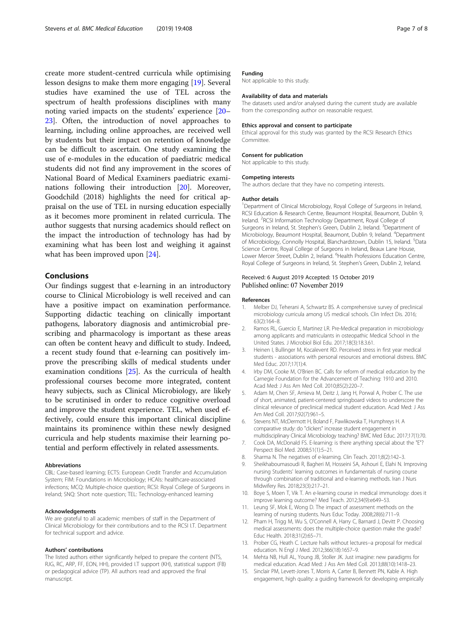<span id="page-6-0"></span>create more student-centred curricula while optimising lesson designs to make them more engaging [[19](#page-7-0)]. Several studies have examined the use of TEL across the spectrum of health professions disciplines with many noting varied impacts on the students' experience [[20](#page-7-0)– [23\]](#page-7-0). Often, the introduction of novel approaches to learning, including online approaches, are received well by students but their impact on retention of knowledge can be difficult to ascertain. One study examining the use of e-modules in the education of paediatric medical students did not find any improvement in the scores of National Board of Medical Examiners paediatric examinations following their introduction [\[20](#page-7-0)]. Moreover, Goodchild (2018) highlights the need for critical appraisal on the use of TEL in nursing education especially as it becomes more prominent in related curricula. The author suggests that nursing academics should reflect on the impact the introduction of technology has had by examining what has been lost and weighing it against what has been improved upon [\[24\]](#page-7-0).

# Conclusions

Our findings suggest that e-learning in an introductory course to Clinical Microbiology is well received and can have a positive impact on examination performance. Supporting didactic teaching on clinically important pathogens, laboratory diagnosis and antimicrobial prescribing and pharmacology is important as these areas can often be content heavy and difficult to study. Indeed, a recent study found that e-learning can positively improve the prescribing skills of medical students under examination conditions [\[25](#page-7-0)]. As the curricula of health professional courses become more integrated, content heavy subjects, such as Clinical Microbiology, are likely to be scrutinised in order to reduce cognitive overload and improve the student experience. TEL, when used effectively, could ensure this important clinical discipline maintains its prominence within these newly designed curricula and help students maximise their learning potential and perform effectively in related assessments.

#### Abbreviations

CBL: Case-based learning; ECTS: European Credit Transfer and Accumulation System; FIM: Foundations in Microbiology; HCAIs: healthcare-associated infections; MCQ: Multiple-choice question; RCSI: Royal College of Surgeons in Ireland; SNQ: Short note question; TEL: Technology-enhanced learning

#### Acknowledgements

We are grateful to all academic members of staff in the Department of Clinical Microbiology for their contributions and to the RCSI I.T. Department for technical support and advice.

#### Authors' contributions

The listed authors either significantly helped to prepare the content (NTS, RJG, RC, ARP, FF, EON, HH), provided I.T support (KH), statistical support (FB) or pedagogical advice (TP). All authors read and approved the final manuscript.

#### Funding

Not applicable to this study.

#### Availability of data and materials

The datasets used and/or analysed during the current study are available from the corresponding author on reasonable request.

#### Ethics approval and consent to participate

Ethical approval for this study was granted by the RCSI Research Ethics Committee.

## Consent for publication

Not applicable to this study.

#### Competing interests

The authors declare that they have no competing interests.

#### Author details

<sup>1</sup>Department of Clinical Microbiology, Royal College of Surgeons in Ireland, RCSI Education & Research Centre, Beaumont Hospital, Beaumont, Dublin 9, Ireland. <sup>2</sup>RCSI Information Technology Department, Royal College of Surgeons in Ireland, St. Stephen's Green, Dublin 2, Ireland. <sup>3</sup>Department of Microbiology, Beaumont Hospital, Beaumont, Dublin 9, Ireland. <sup>4</sup>Department of Microbiology, Connolly Hospital, Blanchardstown, Dublin 15, Ireland. <sup>5</sup>Data Science Centre, Royal College of Surgeons in Ireland, Beaux Lane House, Lower Mercer Street, Dublin 2, Ireland. <sup>6</sup> Health Professions Education Centre Royal College of Surgeons in Ireland, St. Stephen's Green, Dublin 2, Ireland.

# Received: 6 August 2019 Accepted: 15 October 2019

#### References

- 1. Melber DJ, Teherani A, Schwartz BS. A comprehensive survey of preclinical microbiology curricula among US medical schools. Clin Infect Dis. 2016; 63(2):164–8.
- 2. Ramos RL, Guercio E, Martinez LR. Pre-Medical preparation in microbiology among applicants and matriculants in osteopathic Medical School in the United States. J Microbiol Biol Edu. 2017;18(3):18.3.61.
- 3. Heinen I, Bullinger M, Kocalevent RD. Perceived stress in first year medical students - associations with personal resources and emotional distress. BMC Med Educ. 2017;17(1):4.
- 4. Irby DM, Cooke M, O'Brien BC. Calls for reform of medical education by the Carnegie Foundation for the Advancement of Teaching: 1910 and 2010. Acad Med: J Ass Am Med Coll. 2010;85(2):220–7.
- 5. Adam M, Chen SF, Amieva M, Deitz J, Jang H, Porwal A, Prober C. The use of short, animated, patient-centered springboard videos to underscore the clinical relevance of preclinical medical student education. Acad Med: J Ass Am Med Coll. 2017;92(7):961–5.
- 6. Stevens NT, McDermott H, Boland F, Pawlikowska T, Humphreys H. A comparative study: do "clickers" increase student engagement in multidisciplinary Clinical Microbiology teaching? BMC Med Educ. 2017;17(1):70.
- 7. Cook DA, McDonald FS. E-learning: is there anything special about the "E"? Perspect Biol Med. 2008;51(1):5–21.
- 8. Sharma N. The negatives of e-learning. Clin Teach. 2011;8(2):142–3.
- 9. Sheikhaboumasoudi R, Bagheri M, Hosseini SA, Ashouri E, Elahi N. Improving nursing Students' learning outcomes in fundamentals of nursing course through combination of traditional and e-learning methods. Iran J Nurs Midwifery Res. 2018;23(3):217–21.
- 10. Boye S, Moen T, Vik T. An e-learning course in medical immunology: does it improve learning outcome? Med Teach. 2012;34(9):e649–53.
- 11. Leung SF, Mok E, Wong D. The impact of assessment methods on the learning of nursing students. Nurs Educ Today. 2008;28(6):711–9.
- 12. Pham H, Trigg M, Wu S, O'Connell A, Harry C, Barnard J, Devitt P. Choosing medical assessments: does the multiple-choice question make the grade? Educ Health. 2018;31(2):65–71.
- 13. Prober CG, Heath C. Lecture halls without lectures--a proposal for medical education. N Engl J Med. 2012;366(18):1657–9.
- 14. Mehta NB, Hull AL, Young JB, Stoller JK. Just imagine: new paradigms for medical education. Acad Med: J Ass Am Med Coll. 2013;88(10):1418–23.
- 15. Sinclair PM, Levett-Jones T, Morris A, Carter B, Bennett PN, Kable A. High engagement, high quality: a guiding framework for developing empirically